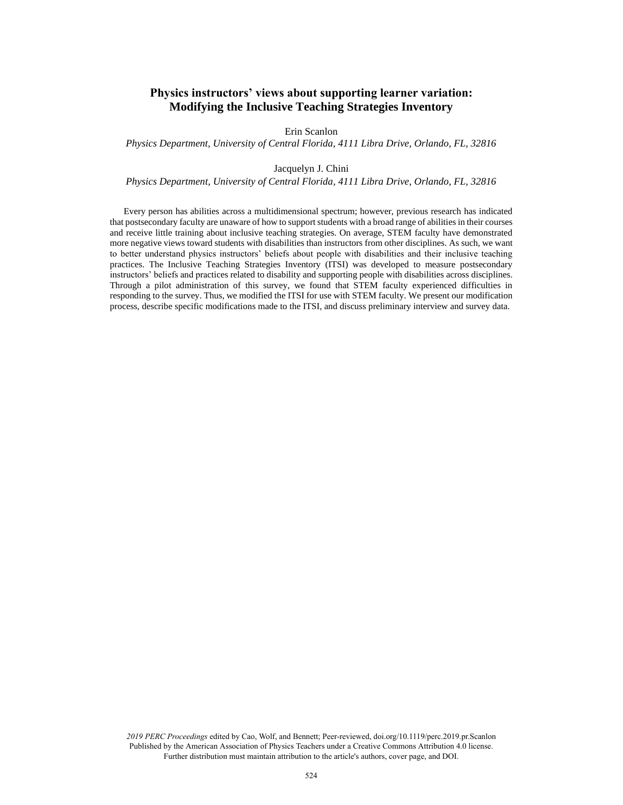# **Physics instructors' views about supporting learner variation: Modifying the Inclusive Teaching Strategies Inventory**

Erin Scanlon

*Physics Department, University of Central Florida, 4111 Libra Drive, Orlando, FL, 32816*

### Jacquelyn J. Chini

*Physics Department, University of Central Florida, 4111 Libra Drive, Orlando, FL, 32816*

Every person has abilities across a multidimensional spectrum; however, previous research has indicated that postsecondary faculty are unaware of how to support students with a broad range of abilities in their courses and receive little training about inclusive teaching strategies. On average, STEM faculty have demonstrated more negative views toward students with disabilities than instructors from other disciplines. As such, we want to better understand physics instructors' beliefs about people with disabilities and their inclusive teaching practices. The Inclusive Teaching Strategies Inventory (ITSI) was developed to measure postsecondary instructors' beliefs and practices related to disability and supporting people with disabilities across disciplines. Through a pilot administration of this survey, we found that STEM faculty experienced difficulties in responding to the survey. Thus, we modified the ITSI for use with STEM faculty. We present our modification process, describe specific modifications made to the ITSI, and discuss preliminary interview and survey data.

*2019 PERC Proceedings* edited by Cao, Wolf, and Bennett; Peer-reviewed, doi.org/10.1119/perc.2019.pr.Scanlon Published by the American Association of Physics Teachers under a Creative Commons Attribution 4.0 license. Further distribution must maintain attribution to the article's authors, cover page, and DOI.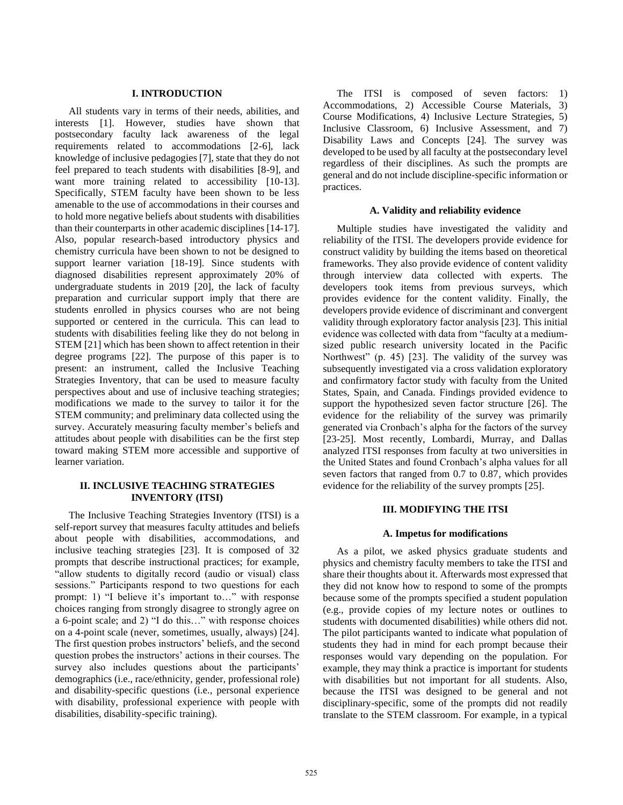### **I. INTRODUCTION**

All students vary in terms of their needs, abilities, and interests [1]. However, studies have shown that postsecondary faculty lack awareness of the legal requirements related to accommodations [2-6], lack knowledge of inclusive pedagogies [7], state that they do not feel prepared to teach students with disabilities [8-9], and want more training related to accessibility [10-13]. Specifically, STEM faculty have been shown to be less amenable to the use of accommodations in their courses and to hold more negative beliefs about students with disabilities than their counterparts in other academic disciplines [14-17]. Also, popular research-based introductory physics and chemistry curricula have been shown to not be designed to support learner variation [18-19]. Since students with diagnosed disabilities represent approximately 20% of undergraduate students in 2019 [20], the lack of faculty preparation and curricular support imply that there are students enrolled in physics courses who are not being supported or centered in the curricula. This can lead to students with disabilities feeling like they do not belong in STEM [21] which has been shown to affect retention in their degree programs [22]. The purpose of this paper is to present: an instrument, called the Inclusive Teaching Strategies Inventory, that can be used to measure faculty perspectives about and use of inclusive teaching strategies; modifications we made to the survey to tailor it for the STEM community; and preliminary data collected using the survey. Accurately measuring faculty member's beliefs and attitudes about people with disabilities can be the first step toward making STEM more accessible and supportive of learner variation.

# **II. INCLUSIVE TEACHING STRATEGIES INVENTORY (ITSI)**

The Inclusive Teaching Strategies Inventory (ITSI) is a self-report survey that measures faculty attitudes and beliefs about people with disabilities, accommodations, and inclusive teaching strategies [23]. It is composed of 32 prompts that describe instructional practices; for example, "allow students to digitally record (audio or visual) class sessions." Participants respond to two questions for each prompt: 1) "I believe it's important to…" with response choices ranging from strongly disagree to strongly agree on a 6-point scale; and 2) "I do this…" with response choices on a 4-point scale (never, sometimes, usually, always) [24]. The first question probes instructors' beliefs, and the second question probes the instructors' actions in their courses. The survey also includes questions about the participants' demographics (i.e., race/ethnicity, gender, professional role) and disability-specific questions (i.e., personal experience with disability, professional experience with people with disabilities, disability-specific training).

The ITSI is composed of seven factors: 1) Accommodations, 2) Accessible Course Materials, 3) Course Modifications, 4) Inclusive Lecture Strategies, 5) Inclusive Classroom, 6) Inclusive Assessment, and 7) Disability Laws and Concepts [24]. The survey was developed to be used by all faculty at the postsecondary level regardless of their disciplines. As such the prompts are general and do not include discipline-specific information or practices.

#### **A. Validity and reliability evidence**

Multiple studies have investigated the validity and reliability of the ITSI. The developers provide evidence for construct validity by building the items based on theoretical frameworks. They also provide evidence of content validity through interview data collected with experts. The developers took items from previous surveys, which provides evidence for the content validity. Finally, the developers provide evidence of discriminant and convergent validity through exploratory factor analysis [23]. This initial evidence was collected with data from "faculty at a mediumsized public research university located in the Pacific Northwest" (p. 45) [23]. The validity of the survey was subsequently investigated via a cross validation exploratory and confirmatory factor study with faculty from the United States, Spain, and Canada. Findings provided evidence to support the hypothesized seven factor structure [26]. The evidence for the reliability of the survey was primarily generated via Cronbach's alpha for the factors of the survey [23-25]. Most recently, Lombardi, Murray, and Dallas analyzed ITSI responses from faculty at two universities in the United States and found Cronbach's alpha values for all seven factors that ranged from 0.7 to 0.87, which provides evidence for the reliability of the survey prompts [25].

# **III. MODIFYING THE ITSI**

#### **A. Impetus for modifications**

As a pilot, we asked physics graduate students and physics and chemistry faculty members to take the ITSI and share their thoughts about it. Afterwards most expressed that they did not know how to respond to some of the prompts because some of the prompts specified a student population (e.g., provide copies of my lecture notes or outlines to students with documented disabilities) while others did not. The pilot participants wanted to indicate what population of students they had in mind for each prompt because their responses would vary depending on the population. For example, they may think a practice is important for students with disabilities but not important for all students. Also, because the ITSI was designed to be general and not disciplinary-specific, some of the prompts did not readily translate to the STEM classroom. For example, in a typical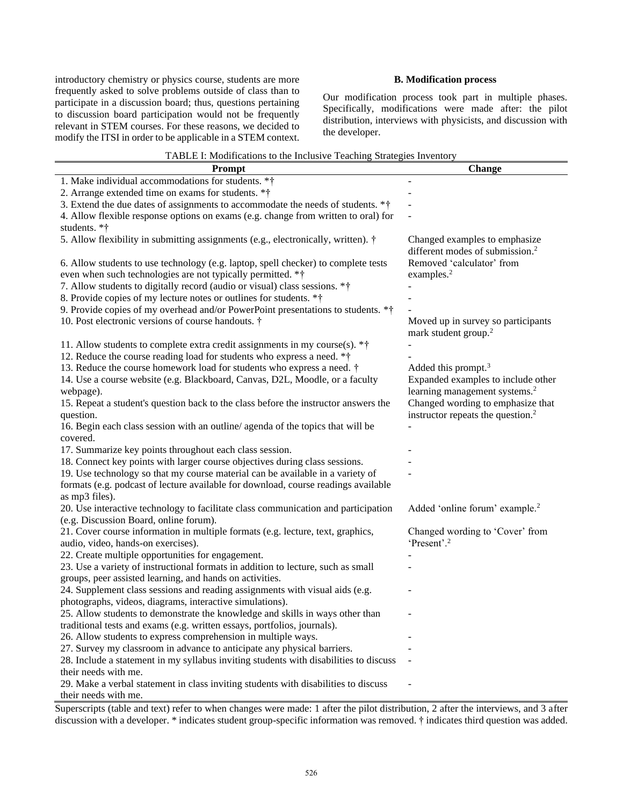introductory chemistry or physics course, students are more frequently asked to solve problems outside of class than to participate in a discussion board; thus, questions pertaining to discussion board participation would not be frequently relevant in STEM courses. For these reasons, we decided to modify the ITSI in order to be applicable in a STEM context.

## **B. Modification process**

Our modification process took part in multiple phases. Specifically, modifications were made after: the pilot distribution, interviews with physicists, and discussion with the developer.

| TADLE I. MOUNTCARONS to the Inclusive Teaching Strategies Inventory<br><b>Prompt</b>                        | <b>Change</b>                                                          |  |
|-------------------------------------------------------------------------------------------------------------|------------------------------------------------------------------------|--|
| 1. Make individual accommodations for students. **                                                          |                                                                        |  |
| 2. Arrange extended time on exams for students. **                                                          |                                                                        |  |
|                                                                                                             |                                                                        |  |
| 3. Extend the due dates of assignments to accommodate the needs of students. **                             |                                                                        |  |
| 4. Allow flexible response options on exams (e.g. change from written to oral) for                          |                                                                        |  |
| students. *†                                                                                                |                                                                        |  |
| 5. Allow flexibility in submitting assignments (e.g., electronically, written). †                           | Changed examples to emphasize                                          |  |
|                                                                                                             | different modes of submission. <sup>2</sup>                            |  |
| 6. Allow students to use technology (e.g. laptop, spell checker) to complete tests                          | Removed 'calculator' from                                              |  |
| even when such technologies are not typically permitted. **                                                 | examples. <sup>2</sup>                                                 |  |
| 7. Allow students to digitally record (audio or visual) class sessions. **                                  |                                                                        |  |
| 8. Provide copies of my lecture notes or outlines for students. **                                          |                                                                        |  |
| 9. Provide copies of my overhead and/or PowerPoint presentations to students. **                            |                                                                        |  |
| 10. Post electronic versions of course handouts. †                                                          | Moved up in survey so participants<br>mark student group. <sup>2</sup> |  |
| 11. Allow students to complete extra credit assignments in my course(s). $*$ <sup>†</sup>                   |                                                                        |  |
| 12. Reduce the course reading load for students who express a need. **                                      |                                                                        |  |
| 13. Reduce the course homework load for students who express a need. †                                      | Added this prompt. <sup>3</sup>                                        |  |
| 14. Use a course website (e.g. Blackboard, Canvas, D2L, Moodle, or a faculty                                | Expanded examples to include other                                     |  |
| webpage).                                                                                                   | learning management systems. <sup>2</sup>                              |  |
| 15. Repeat a student's question back to the class before the instructor answers the                         | Changed wording to emphasize that                                      |  |
| question.                                                                                                   | instructor repeats the question. <sup>2</sup>                          |  |
| 16. Begin each class session with an outline/ agenda of the topics that will be                             |                                                                        |  |
| covered.                                                                                                    |                                                                        |  |
| 17. Summarize key points throughout each class session.                                                     |                                                                        |  |
| 18. Connect key points with larger course objectives during class sessions.                                 |                                                                        |  |
| 19. Use technology so that my course material can be available in a variety of                              |                                                                        |  |
| formats (e.g. podcast of lecture available for download, course readings available                          |                                                                        |  |
| as mp3 files).                                                                                              |                                                                        |  |
| 20. Use interactive technology to facilitate class communication and participation                          | Added 'online forum' example. <sup>2</sup>                             |  |
| (e.g. Discussion Board, online forum).                                                                      |                                                                        |  |
| 21. Cover course information in multiple formats (e.g. lecture, text, graphics,                             | Changed wording to 'Cover' from                                        |  |
| audio, video, hands-on exercises).                                                                          | 'Present'. <sup>2</sup>                                                |  |
| 22. Create multiple opportunities for engagement.                                                           |                                                                        |  |
| 23. Use a variety of instructional formats in addition to lecture, such as small                            |                                                                        |  |
| groups, peer assisted learning, and hands on activities.                                                    |                                                                        |  |
|                                                                                                             |                                                                        |  |
| 24. Supplement class sessions and reading assignments with visual aids (e.g.                                |                                                                        |  |
| photographs, videos, diagrams, interactive simulations).                                                    |                                                                        |  |
| 25. Allow students to demonstrate the knowledge and skills in ways other than                               |                                                                        |  |
| traditional tests and exams (e.g. written essays, portfolios, journals).                                    |                                                                        |  |
| 26. Allow students to express comprehension in multiple ways.                                               |                                                                        |  |
| 27. Survey my classroom in advance to anticipate any physical barriers.                                     |                                                                        |  |
| 28. Include a statement in my syllabus inviting students with disabilities to discuss                       |                                                                        |  |
| their needs with me.                                                                                        |                                                                        |  |
|                                                                                                             |                                                                        |  |
| 29. Make a verbal statement in class inviting students with disabilities to discuss<br>their needs with me. |                                                                        |  |

| TABLE I: Modifications to the Inclusive Teaching Strategies Inventory |  |
|-----------------------------------------------------------------------|--|
|-----------------------------------------------------------------------|--|

Superscripts (table and text) refer to when changes were made: 1 after the pilot distribution, 2 after the interviews, and 3 after discussion with a developer. \* indicates student group-specific information was removed. † indicates third question was added.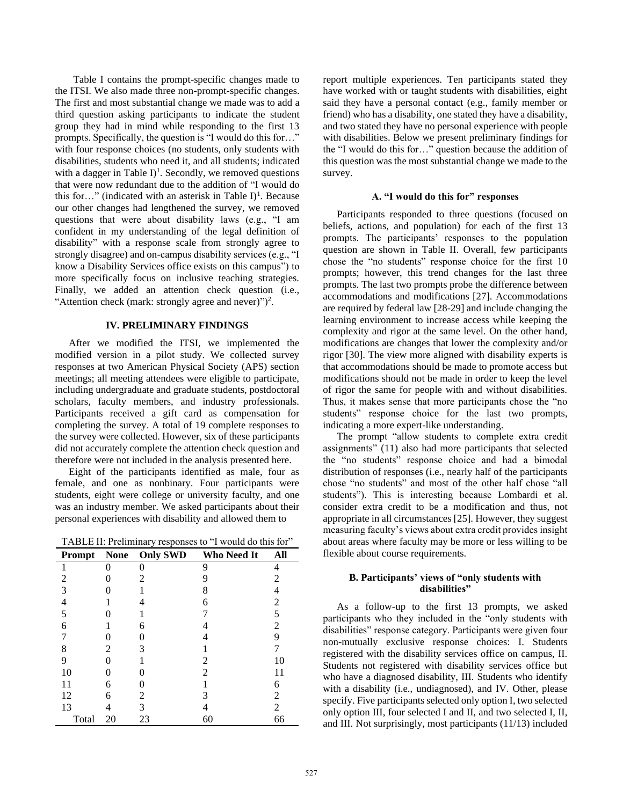Table I contains the prompt-specific changes made to the ITSI. We also made three non-prompt-specific changes. The first and most substantial change we made was to add a third question asking participants to indicate the student group they had in mind while responding to the first 13 prompts. Specifically, the question is "I would do this for…" with four response choices (no students, only students with disabilities, students who need it, and all students; indicated with a dagger in Table  $I$ <sup>1</sup>. Secondly, we removed questions that were now redundant due to the addition of "I would do this for..." (indicated with an asterisk in Table I)<sup>1</sup>. Because our other changes had lengthened the survey, we removed questions that were about disability laws (e.g., "I am confident in my understanding of the legal definition of disability" with a response scale from strongly agree to strongly disagree) and on-campus disability services (e.g., "I know a Disability Services office exists on this campus") to more specifically focus on inclusive teaching strategies. Finally, we added an attention check question (i.e., "Attention check (mark: strongly agree and never)" $)^2$ .

### **IV. PRELIMINARY FINDINGS**

After we modified the ITSI, we implemented the modified version in a pilot study. We collected survey responses at two American Physical Society (APS) section meetings; all meeting attendees were eligible to participate, including undergraduate and graduate students, postdoctoral scholars, faculty members, and industry professionals. Participants received a gift card as compensation for completing the survey. A total of 19 complete responses to the survey were collected. However, six of these participants did not accurately complete the attention check question and therefore were not included in the analysis presented here.

Eight of the participants identified as male, four as female, and one as nonbinary. Four participants were students, eight were college or university faculty, and one was an industry member. We asked participants about their personal experiences with disability and allowed them to

TABLE II: Preliminary responses to "I would do this for"

| Prompt         | <b>None</b> | <b>Only SWD</b> | Who Need It | All            |
|----------------|-------------|-----------------|-------------|----------------|
|                |             |                 | 9           | 4              |
| 2              |             | 2               | g           | 2              |
| 3              |             |                 | 8           |                |
| $\overline{4}$ |             |                 | 6           | 2              |
| 5              |             |                 |             | 5              |
| 6              |             | 6               |             | 2              |
|                |             |                 |             | 9              |
| 8              | 2           | 3               |             |                |
| 9              |             |                 | 2           | 10             |
| 10             |             |                 | 2           | 11             |
| 11             | 6           |                 |             | 6              |
| 12             | 6           | 2               | 3           | 2              |
| 13             | 4           | 3               |             | $\overline{c}$ |
| Total          | 20          | 23              | 60          | 66             |

report multiple experiences. Ten participants stated they have worked with or taught students with disabilities, eight said they have a personal contact (e.g., family member or friend) who has a disability, one stated they have a disability, and two stated they have no personal experience with people with disabilities. Below we present preliminary findings for the "I would do this for…" question because the addition of this question was the most substantial change we made to the survey.

### **A. "I would do this for" responses**

Participants responded to three questions (focused on beliefs, actions, and population) for each of the first 13 prompts. The participants' responses to the population question are shown in Table II. Overall, few participants chose the "no students" response choice for the first 10 prompts; however, this trend changes for the last three prompts. The last two prompts probe the difference between accommodations and modifications [27]. Accommodations are required by federal law [28-29] and include changing the learning environment to increase access while keeping the complexity and rigor at the same level. On the other hand, modifications are changes that lower the complexity and/or rigor [30]. The view more aligned with disability experts is that accommodations should be made to promote access but modifications should not be made in order to keep the level of rigor the same for people with and without disabilities. Thus, it makes sense that more participants chose the "no students" response choice for the last two prompts, indicating a more expert-like understanding.

The prompt "allow students to complete extra credit assignments" (11) also had more participants that selected the "no students" response choice and had a bimodal distribution of responses (i.e., nearly half of the participants chose "no students" and most of the other half chose "all students"). This is interesting because Lombardi et al. consider extra credit to be a modification and thus, not appropriate in all circumstances [25]. However, they suggest measuring faculty's views about extra credit provides insight about areas where faculty may be more or less willing to be flexible about course requirements.

# **B. Participants' views of "only students with disabilities"**

As a follow-up to the first 13 prompts, we asked participants who they included in the "only students with disabilities" response category. Participants were given four non-mutually exclusive response choices: I. Students registered with the disability services office on campus, II. Students not registered with disability services office but who have a diagnosed disability, III. Students who identify with a disability (i.e., undiagnosed), and IV. Other, please specify. Five participants selected only option I, two selected only option III, four selected I and II, and two selected I, II, and III. Not surprisingly, most participants (11/13) included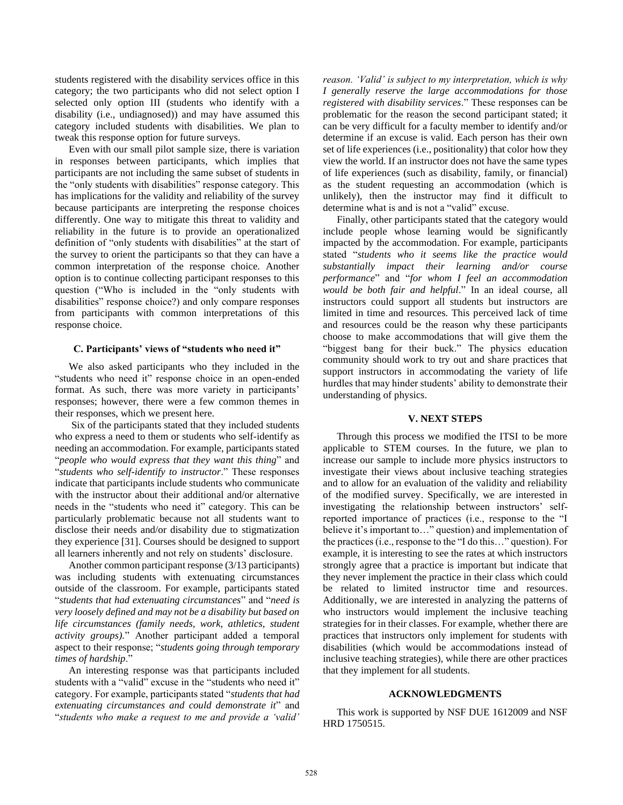students registered with the disability services office in this category; the two participants who did not select option I selected only option III (students who identify with a disability (i.e., undiagnosed)) and may have assumed this category included students with disabilities. We plan to tweak this response option for future surveys.

Even with our small pilot sample size, there is variation in responses between participants, which implies that participants are not including the same subset of students in the "only students with disabilities" response category. This has implications for the validity and reliability of the survey because participants are interpreting the response choices differently. One way to mitigate this threat to validity and reliability in the future is to provide an operationalized definition of "only students with disabilities" at the start of the survey to orient the participants so that they can have a common interpretation of the response choice. Another option is to continue collecting participant responses to this question ("Who is included in the "only students with disabilities" response choice?) and only compare responses from participants with common interpretations of this response choice.

#### **C. Participants' views of "students who need it"**

We also asked participants who they included in the "students who need it" response choice in an open-ended format. As such, there was more variety in participants' responses; however, there were a few common themes in their responses, which we present here.

Six of the participants stated that they included students who express a need to them or students who self-identify as needing an accommodation. For example, participants stated "*people who would express that they want this thing*" and "*students who self-identify to instructor*." These responses indicate that participants include students who communicate with the instructor about their additional and/or alternative needs in the "students who need it" category. This can be particularly problematic because not all students want to disclose their needs and/or disability due to stigmatization they experience [31]. Courses should be designed to support all learners inherently and not rely on students' disclosure.

Another common participant response (3/13 participants) was including students with extenuating circumstances outside of the classroom. For example, participants stated "*students that had extenuating circumstances*" and "*need is very loosely defined and may not be a disability but based on life circumstances (family needs, work, athletics, student activity groups).*" Another participant added a temporal aspect to their response; "*students going through temporary times of hardship*."

An interesting response was that participants included students with a "valid" excuse in the "students who need it" category. For example, participants stated "*students that had extenuating circumstances and could demonstrate it*" and "*students who make a request to me and provide a 'valid'* 

*reason. 'Valid' is subject to my interpretation, which is why I generally reserve the large accommodations for those registered with disability services*." These responses can be problematic for the reason the second participant stated; it can be very difficult for a faculty member to identify and/or determine if an excuse is valid. Each person has their own set of life experiences (i.e., positionality) that color how they view the world. If an instructor does not have the same types of life experiences (such as disability, family, or financial) as the student requesting an accommodation (which is unlikely), then the instructor may find it difficult to determine what is and is not a "valid" excuse.

Finally, other participants stated that the category would include people whose learning would be significantly impacted by the accommodation. For example, participants stated "*students who it seems like the practice would substantially impact their learning and/or course performance*" and "*for whom I feel an accommodation would be both fair and helpful*." In an ideal course, all instructors could support all students but instructors are limited in time and resources. This perceived lack of time and resources could be the reason why these participants choose to make accommodations that will give them the "biggest bang for their buck." The physics education community should work to try out and share practices that support instructors in accommodating the variety of life hurdles that may hinder students' ability to demonstrate their understanding of physics.

### **V. NEXT STEPS**

Through this process we modified the ITSI to be more applicable to STEM courses. In the future, we plan to increase our sample to include more physics instructors to investigate their views about inclusive teaching strategies and to allow for an evaluation of the validity and reliability of the modified survey. Specifically, we are interested in investigating the relationship between instructors' selfreported importance of practices (i.e., response to the "I believe it's important to…" question) and implementation of the practices (i.e., response to the "I do this…" question). For example, it is interesting to see the rates at which instructors strongly agree that a practice is important but indicate that they never implement the practice in their class which could be related to limited instructor time and resources. Additionally, we are interested in analyzing the patterns of who instructors would implement the inclusive teaching strategies for in their classes. For example, whether there are practices that instructors only implement for students with disabilities (which would be accommodations instead of inclusive teaching strategies), while there are other practices that they implement for all students.

#### **ACKNOWLEDGMENTS**

This work is supported by NSF DUE 1612009 and NSF HRD 1750515.